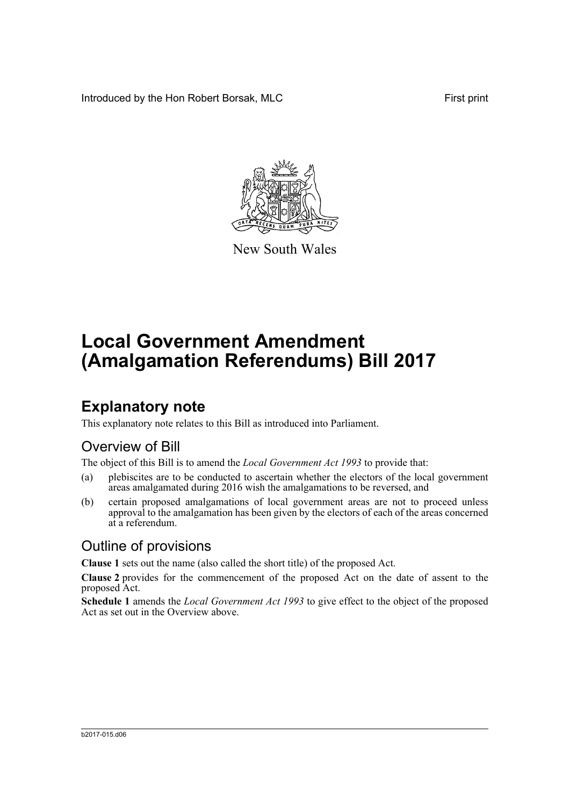Introduced by the Hon Robert Borsak, MLC First print



New South Wales

# **Local Government Amendment (Amalgamation Referendums) Bill 2017**

## **Explanatory note**

This explanatory note relates to this Bill as introduced into Parliament.

#### Overview of Bill

The object of this Bill is to amend the *Local Government Act 1993* to provide that:

- (a) plebiscites are to be conducted to ascertain whether the electors of the local government areas amalgamated during 2016 wish the amalgamations to be reversed, and
- (b) certain proposed amalgamations of local government areas are not to proceed unless approval to the amalgamation has been given by the electors of each of the areas concerned at a referendum.

#### Outline of provisions

**Clause 1** sets out the name (also called the short title) of the proposed Act.

**Clause 2** provides for the commencement of the proposed Act on the date of assent to the proposed Act.

**Schedule 1** amends the *Local Government Act 1993* to give effect to the object of the proposed Act as set out in the Overview above.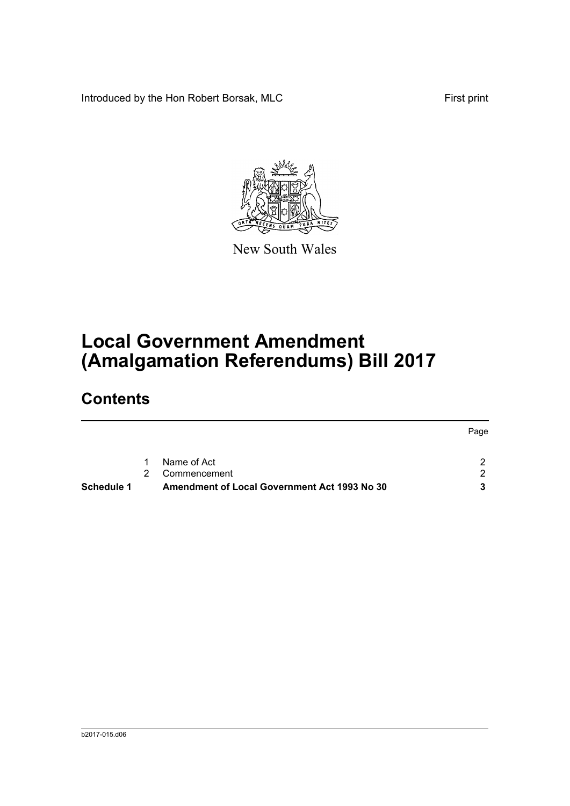Introduced by the Hon Robert Borsak, MLC First print



New South Wales

# **Local Government Amendment (Amalgamation Referendums) Bill 2017**

## **Contents**

| Schedule 1 |   | Amendment of Local Government Act 1993 No 30 |      |
|------------|---|----------------------------------------------|------|
|            |   | Commencement                                 | - 2  |
|            | 1 | Name of Act                                  | ົ    |
|            |   |                                              | Page |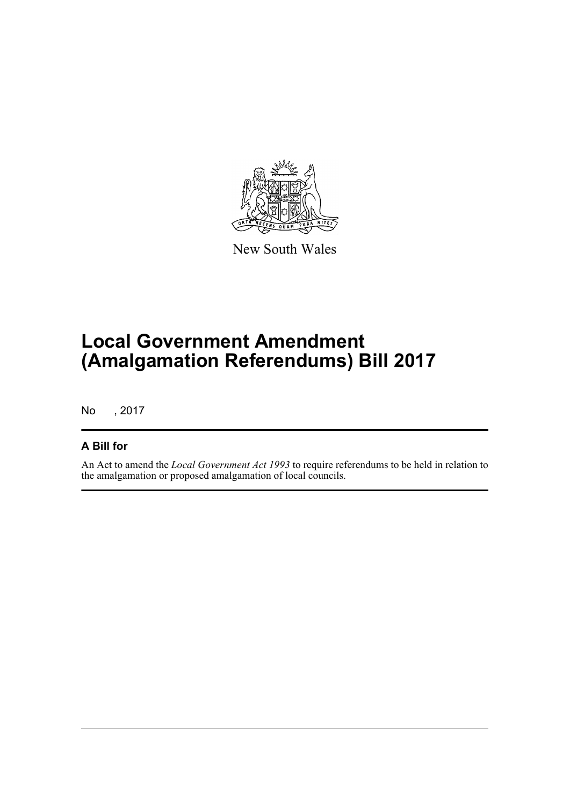

New South Wales

## **Local Government Amendment (Amalgamation Referendums) Bill 2017**

No , 2017

#### **A Bill for**

An Act to amend the *Local Government Act 1993* to require referendums to be held in relation to the amalgamation or proposed amalgamation of local councils.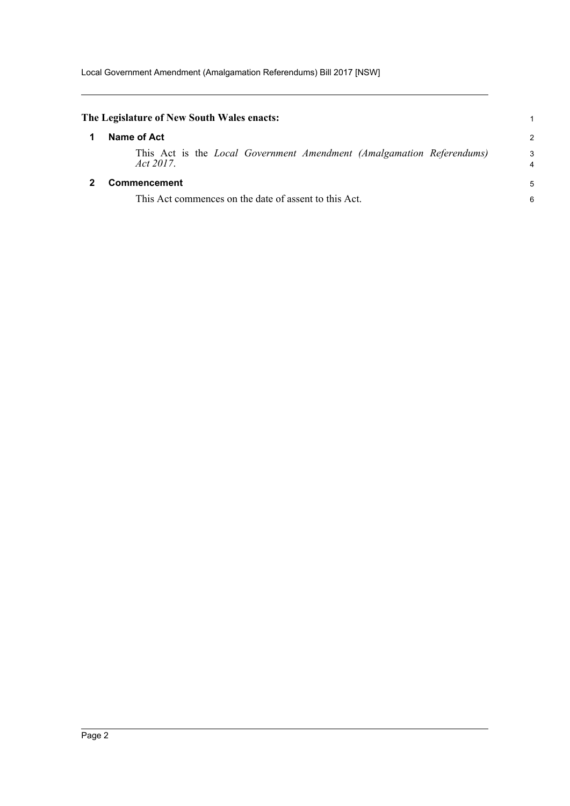<span id="page-3-1"></span><span id="page-3-0"></span>

| The Legislature of New South Wales enacts:                                        |               |
|-----------------------------------------------------------------------------------|---------------|
| Name of Act                                                                       | $\mathcal{P}$ |
| This Act is the Local Government Amendment (Amalgamation Referendums)<br>Act 2017 | 3             |
| Commencement                                                                      | 5             |
| This Act commences on the date of assent to this Act.                             | 6             |
|                                                                                   |               |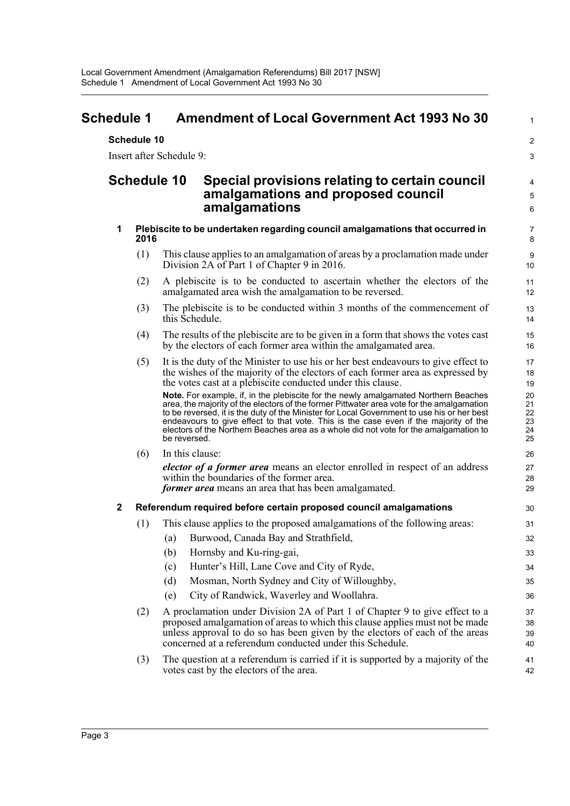<span id="page-4-0"></span>

| <b>Schedule 1</b>  |             |                          | <b>Amendment of Local Government Act 1993 No 30</b>                                                                                                                                                                                                                                                                                                                                                                                                             | $\mathbf{1}$                     |
|--------------------|-------------|--------------------------|-----------------------------------------------------------------------------------------------------------------------------------------------------------------------------------------------------------------------------------------------------------------------------------------------------------------------------------------------------------------------------------------------------------------------------------------------------------------|----------------------------------|
|                    | Schedule 10 |                          |                                                                                                                                                                                                                                                                                                                                                                                                                                                                 | $\overline{2}$                   |
|                    |             | Insert after Schedule 9: |                                                                                                                                                                                                                                                                                                                                                                                                                                                                 | 3                                |
| <b>Schedule 10</b> |             |                          | Special provisions relating to certain council<br>amalgamations and proposed council<br>amalgamations                                                                                                                                                                                                                                                                                                                                                           |                                  |
| 1                  | 2016        |                          | Plebiscite to be undertaken regarding council amalgamations that occurred in                                                                                                                                                                                                                                                                                                                                                                                    | 7<br>$\bf 8$                     |
|                    | (1)         |                          | This clause applies to an amalgamation of areas by a proclamation made under<br>Division 2A of Part 1 of Chapter 9 in 2016.                                                                                                                                                                                                                                                                                                                                     | 9<br>10                          |
|                    | (2)         |                          | A plebiscite is to be conducted to ascertain whether the electors of the<br>amalgamated area wish the amalgamation to be reversed.                                                                                                                                                                                                                                                                                                                              | 11<br>12                         |
|                    | (3)         | this Schedule.           | The plebiscite is to be conducted within 3 months of the commencement of                                                                                                                                                                                                                                                                                                                                                                                        | 13<br>14                         |
|                    | (4)         |                          | The results of the plebiscite are to be given in a form that shows the votes cast<br>by the electors of each former area within the amalgamated area.                                                                                                                                                                                                                                                                                                           | 15<br>16                         |
|                    | (5)         |                          | It is the duty of the Minister to use his or her best endeavours to give effect to<br>the wishes of the majority of the electors of each former area as expressed by<br>the votes cast at a plebiscite conducted under this clause.                                                                                                                                                                                                                             | 17<br>18<br>19                   |
|                    |             | be reversed.             | Note. For example, if, in the plebiscite for the newly amalgamated Northern Beaches<br>area, the majority of the electors of the former Pittwater area vote for the amalgamation<br>to be reversed, it is the duty of the Minister for Local Government to use his or her best<br>endeavours to give effect to that vote. This is the case even if the majority of the<br>electors of the Northern Beaches area as a whole did not vote for the amalgamation to | 20<br>21<br>22<br>23<br>24<br>25 |
|                    | (6)         | In this clause:          |                                                                                                                                                                                                                                                                                                                                                                                                                                                                 | 26                               |
|                    |             |                          | <i>elector of a former area</i> means an elector enrolled in respect of an address<br>within the boundaries of the former area.<br><i>former area</i> means an area that has been amalgamated.                                                                                                                                                                                                                                                                  | 27<br>28<br>29                   |
| $\mathbf 2$        |             |                          | Referendum required before certain proposed council amalgamations                                                                                                                                                                                                                                                                                                                                                                                               | 30                               |
|                    | (1)         |                          | This clause applies to the proposed amalgamations of the following areas:                                                                                                                                                                                                                                                                                                                                                                                       | 31                               |
|                    |             |                          | (a) Burwood, Canada Bay and Strathfield,                                                                                                                                                                                                                                                                                                                                                                                                                        | 32                               |
|                    |             | (b)                      | Hornsby and Ku-ring-gai,                                                                                                                                                                                                                                                                                                                                                                                                                                        | 33                               |
|                    |             | (c)                      | Hunter's Hill, Lane Cove and City of Ryde,                                                                                                                                                                                                                                                                                                                                                                                                                      | 34                               |
|                    |             | (d)                      | Mosman, North Sydney and City of Willoughby,                                                                                                                                                                                                                                                                                                                                                                                                                    | 35                               |
|                    |             | (e)                      | City of Randwick, Waverley and Woollahra.                                                                                                                                                                                                                                                                                                                                                                                                                       | 36                               |
|                    | (2)         |                          | A proclamation under Division 2A of Part 1 of Chapter 9 to give effect to a<br>proposed amalgamation of areas to which this clause applies must not be made<br>unless approval to do so has been given by the electors of each of the areas<br>concerned at a referendum conducted under this Schedule.                                                                                                                                                         | 37<br>38<br>39<br>40             |
|                    | (3)         |                          | The question at a referendum is carried if it is supported by a majority of the<br>votes cast by the electors of the area.                                                                                                                                                                                                                                                                                                                                      | 41<br>42                         |